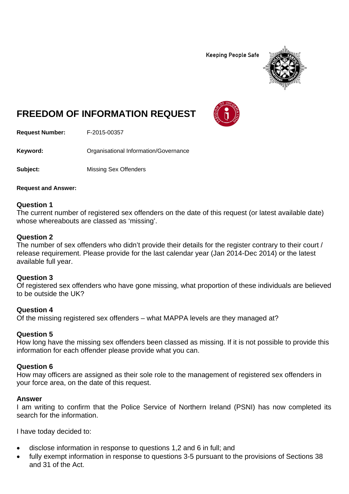**Keeping People Safe** 



# **FREEDOM OF INFORMATION REQUEST**

**Request Number:** F-2015-00357

Keyword: **Communistry Communists** Organisational Information/Governance

**Subject:** Missing Sex Offenders

**Request and Answer:** 

## **Question 1**

The current number of registered sex offenders on the date of this request (or latest available date) whose whereabouts are classed as 'missing'.

## **Question 2**

The number of sex offenders who didn't provide their details for the register contrary to their court / release requirement. Please provide for the last calendar year (Jan 2014-Dec 2014) or the latest available full year.

## **Question 3**

Of registered sex offenders who have gone missing, what proportion of these individuals are believed to be outside the UK?

## **Question 4**

Of the missing registered sex offenders – what MAPPA levels are they managed at?

## **Question 5**

How long have the missing sex offenders been classed as missing. If it is not possible to provide this information for each offender please provide what you can.

## **Question 6**

How may officers are assigned as their sole role to the management of registered sex offenders in your force area, on the date of this request.

#### **Answer**

I am writing to confirm that the Police Service of Northern Ireland (PSNI) has now completed its search for the information.

I have today decided to:

- disclose information in response to questions 1,2 and 6 in full; and
- fully exempt information in response to questions 3-5 pursuant to the provisions of Sections 38 and 31 of the Act.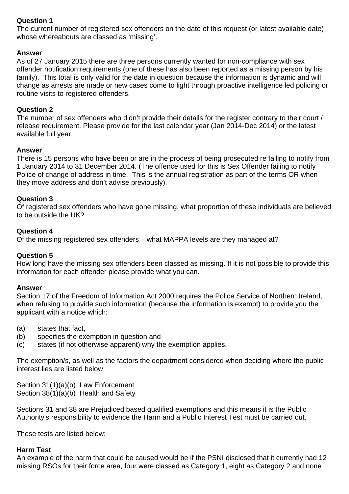# **Question 1**

The current number of registered sex offenders on the date of this request (or latest available date) whose whereabouts are classed as 'missing'.

## **Answer**

As of 27 January 2015 there are three persons currently wanted for non-compliance with sex offender notification requirements (one of these has also been reported as a missing person by his family). This total is only valid for the date in question because the information is dynamic and will change as arrests are made or new cases come to light through proactive intelligence led policing or routine visits to registered offenders.

## **Question 2**

The number of sex offenders who didn't provide their details for the register contrary to their court / release requirement. Please provide for the last calendar year (Jan 2014-Dec 2014) or the latest available full year.

## **Answer**

There is 15 persons who have been or are in the process of being prosecuted re failing to notify from 1 January 2014 to 31 December 2014. (The offence used for this is Sex Offender failing to notify Police of change of address in time. This is the annual registration as part of the terms OR when they move address and don't advise previously).

## **Question 3**

Of registered sex offenders who have gone missing, what proportion of these individuals are believed to be outside the UK?

## **Question 4**

Of the missing registered sex offenders – what MAPPA levels are they managed at?

## **Question 5**

How long have the missing sex offenders been classed as missing. If it is not possible to provide this information for each offender please provide what you can.

## **Answer**

Section 17 of the Freedom of Information Act 2000 requires the Police Service of Northern Ireland, when refusing to provide such information (because the information is exempt) to provide you the applicant with a notice which:

- (a) states that fact,
- (b) specifies the exemption in question and
- (c) states (if not otherwise apparent) why the exemption applies.

The exemption/s, as well as the factors the department considered when deciding where the public interest lies are listed below.

Section 31(1)(a)(b) Law Enforcement Section 38(1)(a)(b) Health and Safety

Sections 31 and 38 are Prejudiced based qualified exemptions and this means it is the Public Authority's responsibility to evidence the Harm and a Public Interest Test must be carried out.

These tests are listed below:

## **Harm Test**

An example of the harm that could be caused would be if the PSNI disclosed that it currently had 12 missing RSOs for their force area, four were classed as Category 1, eight as Category 2 and none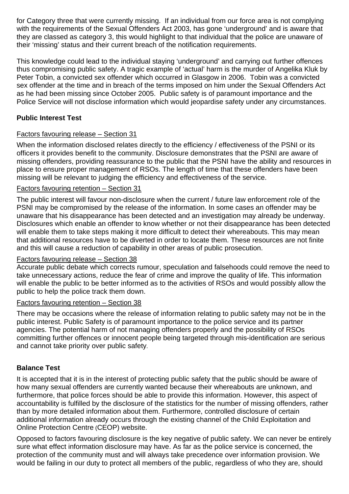for Category three that were currently missing. If an individual from our force area is not complying with the requirements of the Sexual Offenders Act 2003, has gone 'underground' and is aware that they are classed as category 3, this would highlight to that individual that the police are unaware of their 'missing' status and their current breach of the notification requirements.

This knowledge could lead to the individual staying 'underground' and carrying out further offences thus compromising public safety. A tragic example of 'actual' harm is the murder of Angelika Kluk by Peter Tobin, a convicted sex offender which occurred in Glasgow in 2006. Tobin was a convicted sex offender at the time and in breach of the terms imposed on him under the Sexual Offenders Act as he had been missing since October 2005. Public safety is of paramount importance and the Police Service will not disclose information which would jeopardise safety under any circumstances.

# **Public Interest Test**

## Factors favouring release – Section 31

When the information disclosed relates directly to the efficiency / effectiveness of the PSNI or its officers it provides benefit to the community. Disclosure demonstrates that the PSNI are aware of missing offenders, providing reassurance to the public that the PSNI have the ability and resources in place to ensure proper management of RSOs. The length of time that these offenders have been missing will be relevant to judging the efficiency and effectiveness of the service.

## Factors favouring retention – Section 31

The public interest will favour non-disclosure when the current / future law enforcement role of the PSNI may be compromised by the release of the information. In some cases an offender may be unaware that his disappearance has been detected and an investigation may already be underway. Disclosures which enable an offender to know whether or not their disappearance has been detected will enable them to take steps making it more difficult to detect their whereabouts. This may mean that additional resources have to be diverted in order to locate them. These resources are not finite and this will cause a reduction of capability in other areas of public prosecution.

## Factors favouring release – Section 38

Accurate public debate which corrects rumour, speculation and falsehoods could remove the need to take unnecessary actions, reduce the fear of crime and improve the quality of life. This information will enable the public to be better informed as to the activities of RSOs and would possibly allow the public to help the police track them down.

## Factors favouring retention – Section 38

There may be occasions where the release of information relating to public safety may not be in the public interest. Public Safety is of paramount importance to the police service and its partner agencies. The potential harm of not managing offenders properly and the possibility of RSOs committing further offences or innocent people being targeted through mis-identification are serious and cannot take priority over public safety.

## **Balance Test**

It is accepted that it is in the interest of protecting public safety that the public should be aware of how many sexual offenders are currently wanted because their whereabouts are unknown, and furthermore, that police forces should be able to provide this information. However, this aspect of accountability is fulfilled by the disclosure of the statistics for the number of missing offenders, rather than by more detailed information about them. Furthermore, controlled disclosure of certain additional information already occurs through the existing channel of the Child Exploitation and Online Protection Centre (CEOP) website.

Opposed to factors favouring disclosure is the key negative of public safety. We can never be entirely sure what effect information disclosure may have. As far as the police service is concerned, the protection of the community must and will always take precedence over information provision. We would be failing in our duty to protect all members of the public, regardless of who they are, should